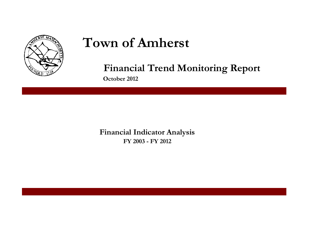

# **Town of Amherst**

**Financial Trend Monitoring Report**

**October 2012**

**Financial Indicator Analysis FY 2003 - FY 2012**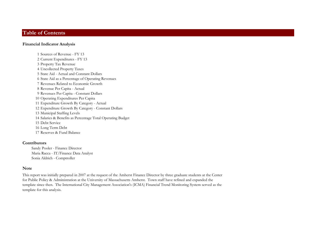#### **Table of Contents**

#### **Financial Indicator Analysis**

 Sources of Revenue - FY 13 Current Expenditures - FY 13 Property Tax Revenue Uncollected Property Taxes State Aid - Actual and Constant Dollars State Aid as a Percentage of Operating Revenues Revenues Related to Economic Growth Revenue Per Capita - Actual Revenues Per Capita - Constant Dollars Operating Expenditures Per Capita Expenditure Growth By Category - Actual Expenditure Growth By Category - Constant Dollars Municipal Staffing Levels Salaries & Benefits as Percentage Total Operating Budget Debt Service Long Term Debt Reserves & Fund Balance

#### **Contributors**

Sandy Pooler - Finance Director Maria Racca - IT/Finance Data Analyst Sonia Aldrich - Comptroller

#### **Note**

This report was initially prepared in 2007 at the request of the Amherst Finance Director by three graduate students at the Center for Public Policy & Administration at the University of Massachusetts Amherst. Town staff have refined and expanded the template since then. The International City Management Association's (ICMA) Financial Trend Monitoring System served as the template for this analysis.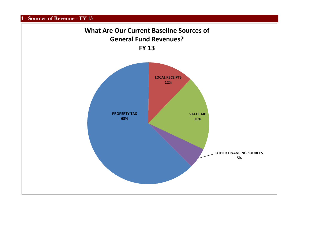**1 - Sources of Revenue - FY 13**

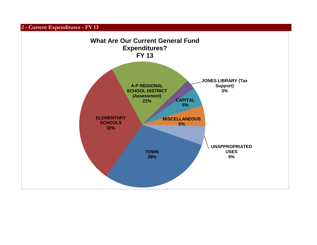**2 - Current Expenditures - FY 13**

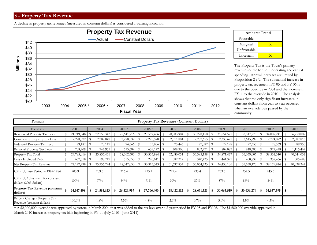# **3 - Property Tax Revenue**

A decline in property tax revenues (measured in constant dollars) is considered a warning indicator.





The Property Tax is the Town's primary revenue source for both operating and capital spending. Annual increases are limited by Proposition 2 1/2. The substantial increase in property tax revenue in FY 05 and FY 06 is due to the override in 2004 and the increase in FY11 to the override in 2010. The analysis shows that the only significant increases in constant dollars from year to year occurred when an override was passed by the community.

| Formula                                                     |                    |              |              |              |            |                  | <b>Property Tax Revenues (Constant Dollars)</b> |                  |                  |      |            |   |            |      |            |
|-------------------------------------------------------------|--------------------|--------------|--------------|--------------|------------|------------------|-------------------------------------------------|------------------|------------------|------|------------|---|------------|------|------------|
| Fiscal Year                                                 | 2003               |              | 2004         |              | $2005*$    | $2006*$          | 2007                                            | 2008             | 2009             |      | 2010       |   | $2011*$    |      | 2012       |
| Residential Property Tax Levy                               | 21,719,548         |              | 22,750,342   |              | 25,641,716 | 27,597,486       | 28,983,904                                      | 30,228,150       | 31,654,521       |      | 32,517,975 |   | 34,807,241 |      | 36,250,802 |
| Commercial Property Tax Levy                                | 2,278,072          |              | 2,287,047    | - \$         | 2,270,532  | 2,225,570        | 2,311,801                                       | 2,287,655        | 2,335,621        |      | 2,615,297  |   | 2,724,022  | -S   | 2,887,813  |
| Industrial Property Tax Levy                                | 79,187             |              | 70,117       | $\mathbf{s}$ | 74,666     | 73,806           | 75,446                                          | 77,082           | 72,198           | - \$ | 77,355     |   | 78,569     |      | 89,955     |
| Personal Property Tax Levy                                  | 708,209            | $\cdot$   \$ | 747,955      | - \$         | 615,689    | 639,122          | 708,900                                         | 802,271          | 809,087          | -S   | 848,380    |   | 922,478    | - \$ | 1,115,462  |
| Property Tax Total                                          | 24,785,016         | - \$         | 25,855,461   |              | 28,602,603 | 30,535,984       | 32,080,051                                      | 33, 395, 158     | 34,871,427       |      | 36,059,007 |   | 38,532,310 | -S   | 40,344,032 |
| Less - Excluded Debt                                        | $637,518$ \$       |              | 598,717      | - \$         | 555,553    | 220,641          | 382,217                                         | 340,425          | 441,321          |      | 400,837    |   | 352,466    |      | 305,688    |
| Net Property Tax Revenue                                    |                    |              | 25, 256, 744 | - 8          | 28,047,050 | 30, 315, 343     | 31,697,834                                      | 33,054,733       | \$<br>34,430,106 | - 5  | 35,658,170 |   | 38,179,844 | S    | 40,038,344 |
| $CPI - U$ , Base Period = 1982-1984                         | 203.9              |              | 209.5        |              | 216.4      | 223.1            | 227.4                                           | 235.4            | 233.5            |      | 237.3      |   | 243.6      |      |            |
| CPI - U, Adjustment for constant<br>dollars (2003 dollars)  | 100%               |              | $97\%$       |              | 94%        | 91%              | $90\%$                                          | 87%              | 87%              |      | 86%        |   | 84%        |      |            |
| <b>Property Tax Revenue (constant)</b><br>dollars)          | \$<br>24, 147, 498 | \$           | 24,581,623   | \$           | 26,426,957 | \$<br>27,706,403 | \$<br>28,422,112                                | \$<br>28,631,521 | 30,065,519       | - \$ | 30,639,279 | S | 31,957,595 | -\$  |            |
| Percent Change - Property Tax<br>Revenue (constant dollars) | $100.0\%$          |              | 1.8%         |              | $7.5\%$    | $4.8\%$          | $2.6\%$                                         | $0.7\%$          | $5.0\%$          |      | $1.9\%$    |   | $4.3\%$    |      |            |

\* A \$2,000,000 override was approved by voters in March 2004 that was added to the tax levy over a 2-year period in FY 05 and FY 06. The \$1,680,000 override approved in March 2010 increases property tax bills beginning in FY 11 (July 2010 - June 2011).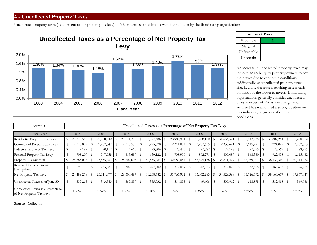### **4 - Uncollected Property Taxes**

Uncollected property taxes (as a percent of the property tax levy) of 5-8 percent is considered a warning indicator by the Bond rating organizations.



|             | <b>Amherst Trend</b> |
|-------------|----------------------|
| Favorable   |                      |
| Marginal    |                      |
| Unfavorable |                      |
| Uncertain   |                      |

An increase in uncollected property taxes may indicate an inability by property owners to pay their taxes due to economic conditions. Additionally, as uncollected property taxes rise, liquidity decreases, resulting in less cash on hand for the Town to invest. Bond rating organizations generally consider uncollected taxes in excess of 5% as a warning trend. Amherst has maintained a strong position on this indicator, regardless of economic conditions.

| Formula                                                       |            |      |            |    |              | Uncollected Taxes as a Percentage of Net Property Tax Levy |                 |              |      |            |   |            |              |            |
|---------------------------------------------------------------|------------|------|------------|----|--------------|------------------------------------------------------------|-----------------|--------------|------|------------|---|------------|--------------|------------|
| Fiscal Year                                                   | 2003       |      | 2004       |    | 2005         | 2006                                                       | 2007            | 2008         |      | 2009       |   | 2010       | 2011         | 2012       |
| Residential Property Tax Levy                                 | 21,719,548 | - \$ | 22,750,342 |    | 25,641,716   | 27,597,486                                                 | $28,983,904$ \$ | 30,228,150   |      | 31,654,521 |   | 32,517,975 | 34,807,241   | 36,250,802 |
| Commercial Property Tax Levy                                  | 2,278,072  |      | 2,287,047  |    | 2,270,532    | 2,225,570                                                  | 2,311,801       | 2,287,655    |      | 2,335,621  |   | 2,615,297  | 2,724,022    | 2,887,813  |
| Industrial Property Tax Levy                                  | 79,187     |      | 70,117     |    | 74,666       | 73,806                                                     | 75,446          | 77,082       |      | 72,198     |   | 77,355     | 78,569       | 89,955     |
| Personal Property Tax Levy                                    | 708,209    |      | 747,955    |    | 615,689      | 639,122                                                    | 708,900         | 802,271      |      | 809,087    |   | 848,380    | 922,478      | 1,115,462  |
| Property Tax Subtotal                                         | 24,785,016 | l S  | 25,855,461 |    | 28,602,603   | 30,535,984                                                 | 32,080,051      | 33, 395, 158 |      | 34,871,427 |   | 36,059,007 | 38,532,310   | 40,344,032 |
| Reserved for Abatements &<br>Exemptions                       | 295,738    | - \$ | 243,584    | S  | $302,116$ \$ | 297,202                                                    | 312,089         | 342,873      | - \$ | 342,028    | S | 332,415 \$ | 368,633      | 376,985    |
| Net Property Tax Levy                                         | 24,489,278 | - \$ | 25,611,877 |    | 28,300,487   | 30,238,782                                                 | 31,767,962      | 33,052,285   |      | 34,529,399 |   | 35,726,592 | 38,163,677   | 39,967,047 |
| Uncollected Taxes as of June 30                               | 337,265    | - \$ | 343,543    | -S | 367,899 \$   | $355,732$ \$                                               | $514,895$ \$    | 449,606      | - \$ | 509,962    |   | 618,875 \$ | $582,418$ \$ | 549,086    |
| Uncollected Taxes as a Percentage<br>of Net Property Tax Levy | $1.38\%$   |      | $1.34\%$   |    | $1.30\%$     | $1.18\%$                                                   | 1.62%           | $1.36\%$     |      | $1.48\%$   |   | 1.73%      | $1.53\%$     | $1.37\%$   |

Source: Collector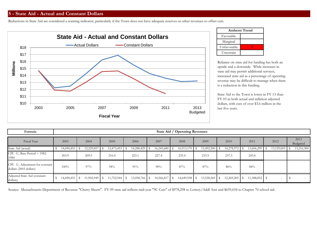Reductions in State Aid are considered a warning indicator, particularly if the Town does not have adequate reserves or other revenues to offset cuts.



|             | <b>Amherst Trend</b> |
|-------------|----------------------|
| Favorable   |                      |
| Marginal    |                      |
| Unfavorable |                      |
| Uncertain   |                      |

Reliance on state aid for funding has both an upside and a downside. While increases in state aid may permit additional services, increased state aid as a percentage of operating revenue may be difficult to manage when there is a reduction in this funding.

State Aid to the Town is lower in FY 13 than FY 03 in both actual and inflation adjusted dollars, with cuts of over \$3.6 million in the last five years.

| Formula                                                    |                 |                 |                 |      |               |            |      | State Aid / Operating Revenues |                 |                 |               |                          |                  |
|------------------------------------------------------------|-----------------|-----------------|-----------------|------|---------------|------------|------|--------------------------------|-----------------|-----------------|---------------|--------------------------|------------------|
| Fiscal Year                                                | 2003            | 2004            | 2005            |      | 2006          | 2007       |      | 2008                           | 2009            | 2010            | 2011          | 2012                     | 2013<br>Budgeted |
| State Aid (actual)                                         | 14,690,451      | 12,229,857      | 12,473,453      | - \$ | 14,288,429    | 16,245,680 |      | 16,913,170                     | 15,492,500      | 14,278,972      | 13,606,299    | 13,129,003               | 13,216,300       |
| $CPI - U$ , Base Period = 1982-<br>1984                    | 203.9           | 209.5           | 216.4           |      | 223.1         | 227.4      |      | 235.4                          | 233.5           | 237.3           | 243.6         |                          |                  |
| CPI - U, Adjustment for constant<br>dollars (2003 dollars) | 100%            | $97\%$          | $94\%$          |      | 91%           | 90%        |      | 87%                            | 87%             | 86%             | 84%           |                          |                  |
| Adjusted State Aid (constant<br>dollars)                   | $14,690,451$ \$ | $11,902,949$ \$ | $11,752,944$ \$ |      | 13,058,766 \$ | 14,566,817 | - \$ | $14,649,938$ \$                | $13,528,569$ \$ | $12,269,205$ \$ | 11,388,852 \$ | $\overline{\phantom{a}}$ |                  |

Source: Massachusetts Department of Revenue "Cherry Sheets". FY 09 state aid reflects mid-year "9C Cuts" of \$978,298 to Lottery/Addl Asst and \$659,034 to Chapter 70 school aid.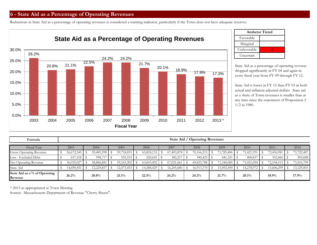# **6 - State Aid as a Percentage of Operating Revenues**

Reductions in State Aid as a percentage of operating revenues is considered a warning indicator, particularly if the Town does not have adequate reserves.



|             | <b>Amherst Trend</b> |
|-------------|----------------------|
| Favorable   |                      |
| Marginal    |                      |
| Unfavorable |                      |
| Uncertain   |                      |

State Aid as a percentage of operating revenue dropped significantly in FY 04 and again in every fiscal year from FY 09 through FY 12.

State Aid is lower in FY 12 than FY 03 in both actual and inflation adjusted dollars. State aid as a share of Town revenues is smaller than at any time since the enactment of Proposition 2 1/2 in 1980.

| Formula                                     |            |            |            |            | State Aid  | Operating Revenues |            |            |            |            |
|---------------------------------------------|------------|------------|------------|------------|------------|--------------------|------------|------------|------------|------------|
| Fiscal Year                                 | 2003       | 2004       | 2005       | 2006       | 2007       | 2008               | 2009       | 2010       | 2011       | 2012       |
| <b>Gross Operating Revenue</b>              | 56,672,545 | 59,485,598 | 59,718,855 | 63,824,133 | 67,403,878 | 70,166,213         | 71,785,406 | 71,421,931 | 72,456,981 | 73,722,487 |
| Less - Excluded Debt                        | 637,518    | 598,717    | 555,553    | 220,641    | 382,217    | 340,425            | 441,321    | 400,837    |            | 305,688    |
| Net Operating Revenue                       | 56,035,027 | 58,886,881 | 59,163,302 | 63,603,492 | 67,021,661 | 69,825,788         | 71,344,085 | 71,021,094 | 72,104,515 | 73,416,799 |
| State Aid                                   | 14,690,451 | 12,229,857 | 12,473,453 | 14,288,429 | 16,245,680 | 16,913,170         | 15,492,500 | 14,278,972 | 13,606,299 | 13,129,003 |
| State Aid as a $\%$ of Operating<br>Revenue | 26.2%      | $20.8\%$   | 21.1%      | 22.5%      | 24.2%      | 24.2%              | 21.7%      | 20.1%      | 18.9%      | 17.9%      |

\* 2013 as appropriated at Town Meeting

Source: Massachusetts Department of Revenue "Cherry Sheets".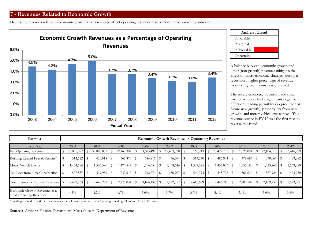Decreasing revenues related to economic growth as a percentage of net operating revenues may be considered a warning indicator



|             | <b>Amherst Trend</b> |
|-------------|----------------------|
| Favorable   |                      |
| Marginal    |                      |
| Unfavorable |                      |
| Uncertain   |                      |

A balance between economic growth and other (non-growth) revenues mitigates the effect of macroeconomic changes--during a recession a higher percentage of revenue from non-growth sources is preferred.

The severe economic downturn and slow pace of recovery had a significant negative effect on building permit fees (a precursor of future new growth), property tax from new growth, and motor vehicle excise taxes. This revenue source in FY 12 was the first year to reverse this trend.

| Formula                                                  |            |      |            |            |      |                |      | <b>Economic Growth Revenues / Operating Revenues</b> |              |            |            |                        |              |      |            |
|----------------------------------------------------------|------------|------|------------|------------|------|----------------|------|------------------------------------------------------|--------------|------------|------------|------------------------|--------------|------|------------|
| Fiscal Year                                              | 2003       |      | 2004       | 2005       |      | 2006           |      | 2007                                                 | 2008         | 2009       | 2010       |                        | 2011         |      | 2012       |
| Net Operating Revenues                                   | 56,035,027 |      | 58,886,881 | 59,163,302 |      | 63,603,492     |      | 67,403,878                                           | 70,166,213   | 73,422,737 | 71,021,094 |                        | 72,104,515   | S    | 73,416,799 |
| Building Related Fees & Permits*                         | 514,722    | - \$ | 423,918 \$ | 565,870 \$ |      | 686,811        |      | 446,504                                              | $517,270$ \$ | 485,934 \$ | 478,686    |                        | 378,067      | - \$ | 489,882    |
| Motor Vehicle Excise                                     | 1,454,684  |      | 1,505,390  | 1,474,547  |      | 1,516,654      |      | 1,438,646                                            | 1,537,625    | 1,435,003  | 1,355,180  |                        | 1,423,261    |      | 1,559,389  |
| Tax Levy from New Construction                           | 527,857    | - \$ | 519,989 \$ | 732,617    | - \$ | 962,674        | l \$ | 636,907                                              |              | 545,778 \$ | 366,636 \$ |                        | $367,924$ \$ |      | 473,730    |
| Total Economic Growth Revenues   \$                      | 2,497,263  |      | 2,449,297  | 2,773,034  | - S  | $3,166,139$ \$ |      | 2,522,057                                            |              |            | 2,200,502  | $\mathbf{\mathcal{S}}$ | 2,169,252    |      | 2,523,001  |
| Economic Growth Revenues as a<br>% of Operating Revenues | $4.5\%$    |      | $4.2\%$    | $4.7\%$    |      | $5.0\%$        |      | $3.7\%$                                              | $3.7\%$      | $3.4\%$    | $3.1\%$    |                        | $3.0\%$      |      | $3.4\%$    |

\*Building Related Fees & Permits includes the following permits: Street Opening, Building, Plumbing, Gas & Electrical

Sources: Amherst Finance Department, Massachusetts Department of Revenue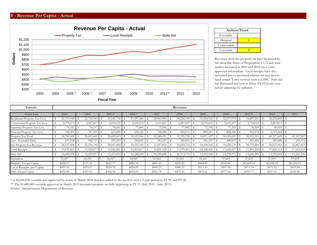

| x              |  |  |  |  |  |  |  |  |  |  |
|----------------|--|--|--|--|--|--|--|--|--|--|
|                |  |  |  |  |  |  |  |  |  |  |
| Uncertain<br>x |  |  |  |  |  |  |  |  |  |  |
|                |  |  |  |  |  |  |  |  |  |  |

Revenues from the property tax have increased by the allowable limits of Proposition 2 1/2 and were further increased in 2005 and 2010 via a voterapproved referendum. Local receipts have also increased due to increased reliance on user fees to fund certain Town services such as LSSE. State aid has fluctuated and now is below FY 02 levels even before adjusting for inflation.

| Formula                       |              |            |            |            |                 | Revenues     |            |            |            |              |            |
|-------------------------------|--------------|------------|------------|------------|-----------------|--------------|------------|------------|------------|--------------|------------|
|                               |              |            |            |            |                 |              |            |            |            |              |            |
| Fiscal Year                   | 2003         | 2004       | $2005*$    | $2006*$    | 2007            | 2008         | 2009       | 2010       | $2011**$   | 2012         | 2013       |
| Residential Property Tax Levy | 21,719,548   | 22,750,342 | 25,641,716 | 27,597,486 | 28,983,904      | 30,228,150   | 31,654,521 | 32,517,975 | 34,807,241 | 36,250,802   |            |
| Commercial Property Tax Levy  | 2,278,072    | 2,287,047  | 2,270,532  | 2,225,570  | 2,311,801       | 2,287,655    | 2,335,621  | 2,615,297  | 2,724,022  | 2,887,813 \$ |            |
| Industrial Property Tax Levy  | 79,187       | 70,117     | 74,666     | 73,806     | 75,446 \$       | 77,082       | 72,198     | 77,355     | 78,569     | 89,955 :     |            |
| Personal Property Tax Levy    | 708,209      | 747,955    | 615,689    | 639,122    | 708,900 \$      | 802,271      | 809,087    | 848,380    | 922,478    | 1,115,462 \$ |            |
| Property Tax Total            | 24,785,016   | 25,855,46  | 28,602,603 | 30,535,984 | 32,080,051      | 33, 395, 158 | 34,871,427 | 36,059,007 | 38,532,310 | 40,327,649   | 42,107,207 |
| Less - Excluded Debt          | 637,518      | 598,71     | 555,553    | 220,641    | 382,217         | 340,425      | 441,321    | 400,837    | 352,466    | 305,688      | 259,374    |
| Net Property Tax Revenue      | 24, 147, 498 | 25,256,744 | 28,047,050 | 30,315,343 | $31,697,834$ \$ | 33,054,733   | 34,430,106 | 35,658,170 | 38,179,844 | 40,021,961   | 41,847,833 |
| <b>Local Receipts</b>         | 13,935,862   | 15,520,077 | 14,446,681 | 14,467,017 | 15,831,428 \$   | 17,079,401   | 18,248,446 | 17,698,547 | 17,841,538 | 17,840,164   | 17,163,653 |
| State Aid                     | 14,690,451   | 12,229,857 | 12,473,453 | 14,288,429 | 16,245,680      | 16,913,170   | 15,492,500 | 14,278,972 | 13,606,299 | 13,129,003   | 13,216,300 |
| Population                    | 34,567       | 34,255     | 34,047     | 34,049     | 35,962          | 35,565       | 35,565     | 37,819     | 37,819     | 37,819       | 37,819     |
| Property Tax per Capita       | \$698.57     | \$737.32   | \$823.77   | \$890.34   | \$881.43        | \$929.42     | \$968.09   | \$942.86   | \$1,009.54 | \$1,058.25   | \$1,106.53 |
| Local Reciepts per Capita     | \$403.16     | \$453.07   | \$424.32   | \$424.89   | \$440.23        | \$480.23     | \$513.10   | \$467.98   | \$471.76   | \$471.72     | \$453.84   |
| State Aid per Capita          | \$424.98     | \$357.02   | \$366.36   | \$419.64   | \$451.75        | \$475.56     | \$435.61   | \$377.56   | \$359.77   | \$347.15     | \$349.46   |

\* A \$2,000,000 override was approved by voters in March 2004 that was added to the tax levy over a 2-year period in FY 05 and FY 06.

\*\* The \$1,680,000 override approved in March 2010 increased property tax bills beginning in FY 11 (July 2010 - June 2011).

Source: Massachusetts Department of Revenue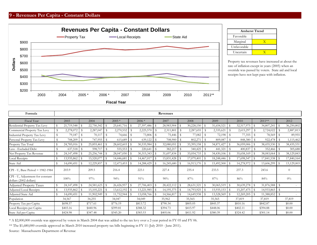#### **9 - Revenues Per Capita - Constant Dollars**



|             | <b>Amherst Trend</b> |
|-------------|----------------------|
| Favorable   |                      |
| Marginal    |                      |
| Unfavorable |                      |
| Uncertain   |                      |

Property tax revenues have increased at about the rate of inflation except in years (2005) when an override was passed by voters. State aid and local receipts have not kept pace with inflation.

| Formula                                                    |               |                 |               |            |          |            |             |                 |                | Revenues   |      |                 |                    |            |                         |               |               |                 |    |                |
|------------------------------------------------------------|---------------|-----------------|---------------|------------|----------|------------|-------------|-----------------|----------------|------------|------|-----------------|--------------------|------------|-------------------------|---------------|---------------|-----------------|----|----------------|
| Fiscal Year                                                |               | 2003            |               | 2004       |          | $2005*$    |             | $2006*$         |                | 2007       |      | 2008            |                    | 2009       |                         | 2010          |               | 2011**          |    | 2012           |
| Residential Property Tax Levy                              | \$            | 21,719,548 \$   |               | 22,750,342 |          | 25,641,716 | -S          | 27,597,486 \$   |                | 28,983,904 | - \$ | 30,228,150      | \$                 | 31,654,521 | <b>S</b>                | 32,517,975    | $\sqrt[6]{3}$ | 34,807,241      | S  | 36,250,802     |
| Commercial Property Tax Levy                               | s             | 2,278,072       | -S            | 2,287,047  |          | 2,270,532  | S           | 2,225,570       |                | 2,311,801  |      | 2,287,655       | $\mathbf{\hat{S}}$ | 2,335,621  | -S                      | 2,615,297     | -S            | 2,724,022       |    | 2,887,813      |
| Industrial Property Tax Levy                               | $\mathbf S$   | 79,187          | $\mathbf S$   | 70,117     |          | 74,666     | S           | 73,806          | S              | 75,446     |      | 77,082          |                    | 72,198     | \$                      | 77,355        | -S            | 78,569          |    | 89,955         |
| Personal Property Tax Levy                                 | $\mathbf S$   | 708,209         | $\mathcal{L}$ | 747,955    | - \$     | 615,689    | - \$        | 639,122         |                | 708,900    | -\$  | 802,271         |                    | 809,087    | - \$                    | 848,380       | -S            | 922,478         |    | 1,115,462      |
| Property Tax Total                                         | $\mathbf{\$}$ | $24,785,016$ \$ |               | 25,855,461 |          | 28,602,603 | S           | $30,535,984$ \$ |                | 32,080,051 |      | 33,395,158      | $\mathbf{\hat{S}}$ | 34,871,427 | - \$                    | 36,059,006    | -\$           | 38,435,530      | S  | 38,435,531     |
| Less - Excluded Debt                                       | $\mathbf S$   | 637,518         | - \$          | 598,717    |          | 555,553    | - \$        | $220,641$ \$    |                | 382,217    |      | 340,425         | S                  | 441,321    | l \$                    | 400,837       | -8            | 352,466         | \$ | 305,688        |
| Net Property Tax Revenue                                   | \$            | 24, 147, 498    |               | 25,256,744 | l \$     | 28,047,050 | S           |                 |                | 31,697,834 |      | 33,054,733      |                    | 34,430,106 | <b>S</b>                | 35,658,169    | -\$           | $38,083,064$ \$ |    | 38,129,843     |
| Local Receipts                                             | $\mathbb{S}$  | $13,935,862$ \$ |               | 15,520,077 | <b>S</b> | 14,446,681 | S           | 14,467,017      | $\overline{1}$ | 15,831,428 | - \$ | 17,079,401      |                    | 18,248,446 | l s                     | 17,698,547    | - \$          |                 |    | 17,840,164     |
| State Aid                                                  | \$            |                 |               | 12,229,857 | - \$     | 12,473,453 | $\mathbb S$ | 14,288,429 \$   |                | 16,245,680 | - \$ | $16,913,170$ \$ |                    | 15,492,500 | <b>S</b>                | 14,278,972 \$ |               | 13,606,299      | -S | 13,129,003     |
| CPI - U, Base Period = 1982-1984                           |               | 203.9           |               | 209.5      |          | 216.4      |             | 223.1           |                | 227.4      |      | 235.4           |                    | 233.5      |                         | 237.3         |               | 243.6           |    | $\overline{0}$ |
| CPI - U, Adjustment for constant<br>dollars (2002 dollars) |               | 100%            |               | 97%        |          | 94%        |             | 91%             |                | 90%        |      | 87%             |                    | 87%        |                         | 86%           |               | 84%             |    | $0\%$          |
| <b>Adjusted Property Taxes</b>                             | \$            |                 |               | 24,581,623 |          | 26,426,957 | -S          | $27,706,403$ \$ |                | 28,422,112 |      | 28,631,521      | S                  | 30,065,519 | ΙS                      | 30,639,278    | -\$           | 31,876,588      | S  |                |
| Adjusted Local Receipts                                    | \$            |                 |               | 15,105,221 |          | 13,612,192 | -S          | $13,221,985$ \$ |                | 14,195,375 | -S   | 14,793,925      | \$                 | 15,935,153 | <b>S</b>                | 15,207,475    | - \$          | 14,933,865      | S  | $\sim$         |
| Adjusted State Aid                                         | \$            | $14,690,451$ \$ |               | 11,902,949 | <b>S</b> | 11,752,944 | -S          | $13,058,766$ \$ |                | 14,566,817 | -S   | 14,649,938      | \$                 | 13,528,569 | $\overline{\mathbf{s}}$ | 12,269,205    | - \$          | 11,388,852      | S  | $\sim$         |
| Population                                                 |               | 34,567          |               | 34,255     |          | 34,047     |             | 34,049          |                | 35,962     |      | 35,565          |                    | 35,565     |                         | 37,819        |               | 37,819          |    | 37,819         |
| Property Tax per Capita                                    |               | \$698.57        |               | \$717.61   |          | \$776.19   |             | \$813.72        |                | \$790.34   |      | \$805.05        |                    | \$845.37   |                         | \$810.16      |               | \$842.87        |    | \$0.00         |
| Local Receipts per Capita                                  |               | \$403.16        |               | \$440.96   |          | \$399.81   |             | \$388.32        |                | \$394.73   |      | \$415.97        |                    | \$448.06   |                         | \$402.11      |               | \$394.88        |    | \$0.00         |
| State Aid per Capita                                       |               | \$424.98        |               | \$347.48   |          | \$345.20   |             | \$383.53        |                | \$405.06   |      | \$411.92        |                    | \$380.39   |                         | \$324.42      |               | \$301.14        |    | \$0.00         |

\* A \$2,000,000 override was approved by voters in March 2004 that was added to the tax levy over a 2-year period in FY 05 and FY 06.

\*\* The \$1,680,000 override approved in March 2010 increased property tax bills beginning in FY 11 (July 2010 - June 2011).

Source: Massachusetts Department of Revenue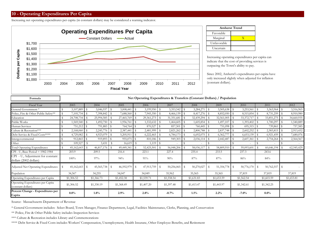#### **10 - Operating Expenditures Per Capita**

Increasing net operating expenditures per capita (in constant dollars) may be considered a warning indicator.



|             | <b>Amherst Trend</b> |
|-------------|----------------------|
| Favorable   |                      |
| Marginal    |                      |
| Unfavorable |                      |
| Uncertain   |                      |

Increasing operating expenditures per capita can indicate that the cost of providing services is outpacing the Town's ability to pay.

Since 2002, Amherst's expenditures per capita have only increased slightly when adjusted for inflation (constant dollars).

| Formula                                                    |                 |      |                 |                          |               |              |                |    | Net Operating Expenditures & Transfers (Constant Dollars) / Population |                    |                |                |               |    |              |      |                 |               |            |
|------------------------------------------------------------|-----------------|------|-----------------|--------------------------|---------------|--------------|----------------|----|------------------------------------------------------------------------|--------------------|----------------|----------------|---------------|----|--------------|------|-----------------|---------------|------------|
| Fiscal Year                                                | 2003            |      | 2004            |                          | 2005          |              | 2006           |    | 2007                                                                   |                    | 2008           |                | 2009          |    | 2010         |      | 2011            |               | 2012       |
| General Government *                                       | 3,107,889       |      | 3,046,937       | -S                       | 3,008,441     |              | 3,199,950      |    | 3,353,542                                                              | - \$               | 3,284,271      | $\overline{1}$ | 3,505,638     |    | 3,253,561    |      | 3,363,964       |               | 3,516,965  |
| Police, Fire & Other Public Safety**                       | 7,105,734       | - \$ | 7,398,842 \$    |                          | 7,688,560     | - \$         | 7,945,350      |    | 8,466,139                                                              | $\mathbb{S}$       | 8,417,276 \$   |                | 8,852,050     | -S | 8,515,854 \$ |      | 8,731,259       |               | 8,910,980  |
| Education                                                  | 24,708,734      | ΙS   | 25,994,585 \$   |                          | 27,465,769    | - \$         | 29,361,273     |    | 31,351,681                                                             |                    | 32,439,294 \$  |                | 32,561,005    | -8 | 33, 372, 717 |      | 33,851,275      | $\mathcal{S}$ | 34,660,935 |
| Public Works                                               | 1,569,540       | l S  | 1,492,750 \$    |                          | 1,956,761     |              | 1,532,632      |    | 1,464,605                                                              | - S                | 1,605,854 \$   |                | 1,497,107     |    | 1,393,402    |      | 1,700,297       |               | 1,540,889  |
| Human Services                                             | 751,212         | ۱S   | 791,883 \$      |                          | 764,764       | - \$         | 870,527        |    | 857,501                                                                | -S                 | 760,445 \$     |                | 751,098 \$    |    | $695,315$ \$ |      | 739,861         |               | 757,585    |
| Culture & Recreation***                                    | 2,168,060       | S    | $2,245,776$ \$  |                          | 2,387,441     |              | 2,481,999      | -S | 2,821,262                                                              | - \$               | $2,800,788$ \$ |                | 2,837,748     | -S | 2,602,252    |      | 2,583,815       | s             | 2,913,432  |
| Debt Service & Fixed Costs****                             | 4,729,082       | -S   | 4,923,079       | $\overline{\phantom{a}}$ | 5,205,911     |              | $6,222,465$ \$ |    | 6,784,173                                                              | - \$               | $6,692,075$ \$ |                | 6,362,777     | -S | 6,653,139    |      | 6,921,459       |               | 7,680,076  |
| Intergovernmental                                          | 912,865         | -S   | 919,893 \$      |                          | 955,075       | $\mathbf{s}$ | 810,186 \$     |    | 949,303                                                                | $\mathbf{\hat{s}}$ | $2,036,114$ \$ |                | 2,442,487     |    | 2,607,361    |      | 2,754,264       |               | 2,564,567  |
| Other                                                      | 109,527         | s    | 3,431           |                          | 16,619        | - S          | $1,119$ \$     |    |                                                                        |                    |                |                |               |    |              |      |                 |               |            |
| <b>Total Operating Expenditures</b>                        | $45,162,643$ \$ |      | $46,817,176$ \$ |                          | 49,449,341 \$ |              | 52,425,501 \$  |    | 56,048,206                                                             | - \$               | 58,036,117 \$  |                | 58,809,910 \$ |    | 59,093,601   | IS.  | $60,646,194$ \$ |               | 62,545,429 |
| CPI - U, Base Period = 1982-1984                           | 203.9           |      | 209.5           |                          | 216.4         |              | 223.1          |    | 227.4                                                                  |                    | 235.4          |                | 233.5         |    | 237.3        |      | 243.6           |               |            |
| CPI - U, Adjustment for constant<br>dollars (2002 dollars) | $100\%$         |      | 97%             |                          | 94%           |              | 91%            |    | 90%                                                                    |                    | 87%            |                | 87%           |    | 86%          |      | 84%             |               |            |
| Adjusted Net Operating Expenditures                        | 45,162,643      | - \$ | 45,565,738      |                          | 46,592,979    | - \$         | 47,913,759     | s  | 50,256,065                                                             | - \$               | 50,270,027     |                | 51, 354, 778  | -S | 50,776,170   | - \$ | 50,762,557      | -S            |            |
| Population                                                 | 34,567          |      | 34,255          |                          | 34,047        |              | 34,049         |    | 35,962                                                                 |                    | 35,565         |                | 35,565        |    | 37,819       |      | 37,819          |               | 37,819     |
| Operating Expenditures per Capita                          | \$1,306.52      |      | \$1,366.73      |                          | \$1,452.38    |              | \$1,539.71     |    | \$1,558.54                                                             |                    | \$1,631.83     |                | \$1,653.59    |    | \$1,562.54   |      | \$1,603.59      |               | \$1,653.81 |
| Operating Expenditures per Capita<br>(constant dollars)    | \$1,306.52      |      | \$1,330.19      |                          | \$1,368.49    |              | \$1,407.20     |    | \$1,397.48                                                             |                    | \$1,413.47     |                | \$1,443.97    |    | \$1,342.61   |      | \$1,342.25      |               |            |
| Percent Change - Expenditures per<br>Capita                | $0.0\%$         |      | 1.8%            |                          | 2.9%          |              | 2.8%           |    | $-0.7%$                                                                |                    | $1.1\%$        |                | 2.2%          |    | $-7.0\%$     |      | $0.0\%$         |               |            |

Source: Massachusetts Department of Revenue

\* General Government includes: Select Board, Town Manager, Finance Department, Legal, Facilities Maintenance, Clerks, Planning, and Conservation

\*\* Police, Fire & Other Public Safety includes Inspection Services

\*\*\* Culture & Recreation includes Library and Commemorations

\*\*\*\* Debt Service & Fixed Costs includes Workers' Compensation, Unemployment, Health Insuranc, Other Employee Benefits, and Retirement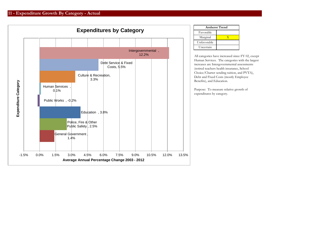

| <b>Amherst Trend</b> |  |  |  |  |  |  |  |  |  |
|----------------------|--|--|--|--|--|--|--|--|--|
| Favorable            |  |  |  |  |  |  |  |  |  |
| Marginal             |  |  |  |  |  |  |  |  |  |
| Unfavorable          |  |  |  |  |  |  |  |  |  |
| Uncertain            |  |  |  |  |  |  |  |  |  |

All categories have increased since FY 02, except Human Services. The categories with the largest increases are Intergovernmental assessments (retired teachers health insurance, School Choice/Charter sending tuition, and PVTA), Debt and Fixed Costs (mostly Employee Benefits), and Education.

Purpose: To measure relative growth of expenditures by category.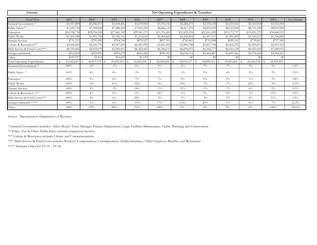| Formula                        |                 |               |              |              |              | Net Operating Expenditures & Transfers |                  |              |                                        |                  |            |
|--------------------------------|-----------------|---------------|--------------|--------------|--------------|----------------------------------------|------------------|--------------|----------------------------------------|------------------|------------|
| Fiscal Year                    | 2003            | 2004          | 2005         | 2006         | 2007         | 2008                                   | 2009             | 2010         | 2011                                   | 2012             | Ave Annual |
| General Government*            | \$3,107,889     | \$3,046,937   | \$3,008,441  | \$3,199,950  | \$3,353,542  | \$3,284,271                            | \$3,505,638      | \$3,253,561  | \$3,363,964                            | \$3,516,965      |            |
| Public Safety**                | \$7,105,734     | \$7,398,842   | \$7,688,560  | \$7,945,350  | \$8,466,139  | \$8,417,276                            | \$8,852,050      | \$8,515,854  | \$8,731,259                            | \$8,910,980      |            |
| Education                      | \$24,708,734    | \$25,994,585  | \$27,465,769 | \$29,361,273 | \$31,351,681 | \$32,439,294                           | \$32,561,005     | \$33,372,717 | \$33,851,275                           | \$34,660,935     |            |
| Public Works                   | \$1,569,540     | \$1,492,750   | \$1,956,761  | \$1,532,632  | \$1,464,605  | \$1,605,854                            | \$1,497,107      | \$1,393,402  | \$1,700,297                            | \$1,540,889      |            |
| Iuman Services                 | \$751,212       | \$791,883     | \$764,764    | \$870,527    | \$857,501    | \$760,445                              | \$751,098        | \$695,315    | \$739,861                              | \$757,585        |            |
| Culture & Recreation***        | \$2,168,060     | \$2,245,776   | \$2,387,441  | \$2,481,999  | \$2,821,262  | \$2,800,788                            | \$2,837,748      | \$2,602,252  | \$2,583,815                            | \$2,913,432      |            |
| Debt Service & Fixed Costs**** | \$4,729,082     | \$4,923,079   | \$5,205,911  | \$6,222,465  | \$6,784,173  | \$6,692,075                            | \$6,362,777      | \$6,653,139  | \$6,921,459                            | \$7,680,076      |            |
| Intergovernmental              | \$912,865       | \$919,893     | \$955,075    | \$810,186    | \$949,303    | \$2,036,114                            | \$2,442,487      | \$2,607,361  | \$2,754,264                            | \$2,564,567      |            |
| Other                          | \$109,527       | \$3,431       | \$16,619     | \$1,119      | \$0          | \$0                                    | \$0              | \$0          | \$0                                    | \$0              |            |
| Total Operating Expenditures   | $45,162,643$ \$ | 46,817,176 \$ | 49,449,341   | 52,425,501   | 56,048,206   | 58,036,117                             | 58,809,910<br>-S | 59,093,601   | 60,646,194<br>$\overline{\phantom{a}}$ | 62,545,429<br>ΙS |            |
| General Government *           | 100%            | $-2\%$        | $-1\%$       | 6%           | $5\%$        | $-2\%$                                 | $7\%$            | $-7\%$       | $3\%$                                  | $5\%$            | $1.4\%$    |
| Public Safety *                | 100%            | $4\%$         | $4\%$        | $3\%$        | $7\%$        | $-1\%$                                 | $5\%$            | $-4\%$       | $3\%$                                  | $2\%$            | 2.5%       |
| Education                      | 100%            | $5\%$         | $6\%$        | $7\%$        | $7\%$        | $3\%$                                  | $0\%$            | $2\%$        | $1\%$                                  | $2\%$            | $3.8\%$    |
| Public Works                   | 100%            | $-5\%$        | 31%          | $-22\%$      | $-4\%$       | 10%                                    | $-7\%$           | $-7\%$       | 22%                                    | $-9\%$           | $-0.2%$    |
| Iuman Services                 | 100%            | $5\%$         | $-3\%$       | 14%          | $-1\%$       | $-11\%$                                | $-1\%$           | $-7\%$       | $6\%$                                  | $2\%$            | $0.1\%$    |
| Culture & Recreation ***       | 100%            | $4\%$         | 6%           | $4\%$        | 14%          | $-1\%$                                 | $1\%$            | $-8\%$       | $-1\%$                                 | 13%              | $3.3\%$    |
| Debt Service & Fixed Costs**** | 100%            | $4\%$         | 6%           | 20%          | $9\%$        | $-1\%$                                 | $-5\%$           | $5\%$        | $4\%$                                  | 11%              | $5.5\%$    |
| Intergovernmental *****        | 100%            | $1\%$         | $4\%$        | $-15%$       | 17%          | 114%                                   | 20%              | $7\%$        | 6%                                     | $-7\%$           | 12.2%      |
| Other                          | 100%            | $-97%$        | 384%         | $-93%$       | $-100%$      | $0\%$                                  | $0\%$            | $0\%$        | $0\%$                                  | 100%             | $-100.0\%$ |

Source: Massachusetts Department of Revenue

\* General Government includes: Select Board, Town Manager, Finance Department, Legal, Facilities Maintenance, Clerks, Planning, and Conservation

\*\* Police, Fire & Other Public Safety includes Inspection Services

\*\*\* Culture & Recreation includes Library and Commemorations

\*\*\*\* Debt Service & Fixed Costs includes Workers' Compensation, Unemployment, Health Insurance, Other Employee Benefits, and Retirement

\*\*\*\*\* Includes Other for FY 01 - FY 06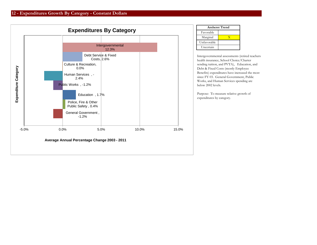

| <b>Amherst Trend</b> |   |  |  |  |  |  |  |  |
|----------------------|---|--|--|--|--|--|--|--|
| Favorable            |   |  |  |  |  |  |  |  |
| Marginal             | v |  |  |  |  |  |  |  |
| Unfavorable          |   |  |  |  |  |  |  |  |
| Uncertain            |   |  |  |  |  |  |  |  |

Intergovernmental assessments (retired teachers health insurance, School Choice/Charter sending tuition, and PVTA), Education, and Debt & Fixed Costs (mostly Employee Benefits) expenditures have increased the most since FY 03. General Government, Public Works, and Human Services spending are below 2002 levels.

Purpose: To measure relative growth of expenditures by category.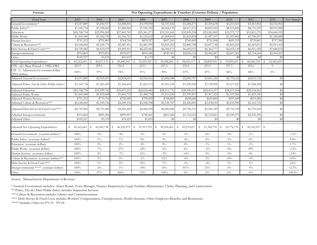| Formula                                                    |                            | Net Operating Expenditures & Transfers (Constant Dollars) / Population |                            |                                  |                            |                  |                            |                 |                            |                            |            |  |  |
|------------------------------------------------------------|----------------------------|------------------------------------------------------------------------|----------------------------|----------------------------------|----------------------------|------------------|----------------------------|-----------------|----------------------------|----------------------------|------------|--|--|
| <b>Fiscal Year</b>                                         | 2003                       | 2004                                                                   | 2005                       | 2006                             | 2007                       | 2008             | 2009                       | 2010            | 2011                       | 2012                       | Ave Annual |  |  |
| General Government *                                       | \$3,107,889                | \$3,046,937                                                            | \$3,008,441                | \$3,199,950                      | \$3,353,542                | \$3,284,271      | \$3,505,638                | \$3,253,561     | \$3,363,964                | \$3,516,965                |            |  |  |
| Public Safety**                                            | \$7,105,734                | \$7,398,842                                                            | \$7,688,560                | \$7,945,350                      | \$8,466,139                | \$8,417,276      | \$8,852,050                | \$8,515,854     | \$8,731,259                | \$8,910,980                |            |  |  |
| Education                                                  | \$24,708,734               | \$25,994,585                                                           | \$27,465,769               | \$29,361,273                     | \$31,351,681               | \$32,439,294     | \$32,561,005               | \$33,372,717    | \$33,851,275               | \$34,660,935               |            |  |  |
| Public Works                                               | \$1,569,540                | \$1,492,750                                                            | \$1,956,761                | \$1,532,632                      | \$1,464,605                | \$1,605,854      | \$1,497,107                | \$1,393,402     | \$1,700,297                | \$1,540,889                |            |  |  |
| Human Services                                             | \$751,212                  | \$791,883                                                              | \$764,764                  | \$870,527                        | \$857,501                  | \$760,445        | \$751,098                  | \$695,315       | \$739,861                  | \$757,585                  |            |  |  |
| Culture & Recreation***                                    | \$2,168,060                | \$2,245,776                                                            | \$2,387,441                | \$2,481,999                      | \$2,821,262                | \$2,800,788      | \$2,837,748                | \$2,602,252     | \$2,583,815                | \$2,913,432                |            |  |  |
| Debt Service & Fixed Costs****                             | \$4,729,082                | \$4,923,079                                                            | \$5,205,911                | \$6,222,465                      | \$6,784,173                | \$6,692,075      | \$6,362,77                 | \$6,653,139     | \$6,921,459                | \$7,680,076                |            |  |  |
| Intergovernmental                                          | \$912,865                  | \$919,893                                                              | \$955,07                   | \$810,186                        | \$949,303                  | \$2,036,114      | \$2,442,487                | \$2,607,361     | \$2,754,264                | \$2,564,567                |            |  |  |
| Other                                                      | \$109,527                  | \$3,431                                                                | \$16,619                   | \$1,119                          | \$0                        | \$0              | \$0                        | \$0             | \$0                        | \$0                        |            |  |  |
| <b>Total Operating Expenditures</b>                        | $\mathbb{S}$<br>45,162,643 | s<br>46,817,176                                                        | 49,449,341<br>S.           | 52,425,501<br>$\mathbf{\hat{s}}$ | 56,048,206<br>-S           | 58,036,117<br>S  | $\mathbf{s}$<br>58,809,910 | 59,093,601<br>S | $\mathbf S$<br>60,646,194  | $\mathbb{S}$<br>62,545,429 |            |  |  |
| $CPI - uU$ , Base Period = 1982-1984                       | 203.9                      | 209.5                                                                  | 216.4                      | 223.1                            | 227.4                      | 235.4            | 233.5                      | 237.3           | 243.6                      | $\Omega$                   |            |  |  |
| CPI - U, Adjustment for constant dollars<br>(2002 dollars) | 100%                       | 97%                                                                    | 94%                        | 91%                              | 90%                        | 87%              | 87%                        | 86%             | 84%                        | $0\%$                      |            |  |  |
| Adjusted General Government*                               | \$3,107,889                | \$2,965,491                                                            | \$2,834,663                | \$2,924,562                      | \$3,006,980                | \$2,844,787      | \$3,061,240                | \$2,795,622     | \$2,815,732                | \$0                        |            |  |  |
| Adjusted Police, Fire & Other Public Safety*               | \$7,105,734                | \$7,201,069                                                            | \$7,244,443                | \$7,261,573                      | \$7,591,230                | \$7,290,920      | \$7,729,906                | \$7,317,247     | \$7,308,308                | \$0                        |            |  |  |
| Adjusted Education                                         | \$24,708,734               | \$25,299,742                                                           | $\overline{$25,879,253}$   | \$26,834,440                     | \$28,111,732               | \$28,098,437     | \$28,433,357               | \$28,675,504    | \$28,334,462               | \$0                        |            |  |  |
| <b>Adjusted Public Works</b>                               | \$1,569,540                | \$1,452,848                                                            | \$1,843,732                | \$1,400,734                      | \$1,313,250                | \$1,390,967      | \$1,307,324                | \$1,197,28      | \$1,423,19                 | \$0                        |            |  |  |
| <b>Adiusted Human Services</b>                             | \$751,212                  | \$770,716                                                              | \$720,589                  | \$795,609                        | \$768,885                  | \$658,686        | \$655,884                  | \$597,449       | \$619,284                  | \$0                        |            |  |  |
| Adjusted Culture & Recreation***                           | \$2,168,060                | \$2,185,746                                                            | \$2,249,534                | \$2,268,398                      | \$2,529,707                | \$2,426,001      | \$2,478,016                | \$2,235,985     | \$2,162,725                | \$0                        |            |  |  |
| Adjusted Debt Service & Fixed Costs****                    | \$4,729,082                | \$4,791,484                                                            | \$4,905,200                | \$5,686,959                      | \$6,083,082                | \$5,796,576      | \$5,556,189                | \$5,716,709     | \$5,793,454                | \$0                        |            |  |  |
| Adjusted Intergovernmental                                 | \$912,865                  | \$895,304                                                              | \$899,907                  | \$740,461                        | \$851,200                  | \$1,763,652      | \$2,132,861                | \$2,240,375     | \$2,305,396                | \$0                        |            |  |  |
| Adjusted Other                                             | \$109,527                  | \$3,339                                                                | \$15,659                   | \$1,023                          | \$0                        | \$0              | \$0                        | \$0             | $$^{<}$                    | \$0                        |            |  |  |
| Adjusted Net Operating Expenditures                        | 45,162,643<br>S.           | 45,565,738<br>S                                                        | $\mathbb{S}$<br>46,592,979 | S<br>47,913,759                  | $\mathbb{S}$<br>50,256,065 | 50,270,027<br>\$ | 51, 354, 778<br>S          | 50,776,170<br>S | $\mathbb{S}$<br>50,762,557 | - \$                       |            |  |  |
| General Government (constant dollars) *                    | 100%                       | $-5\%$                                                                 | $-4\%$                     | $3\%$                            | $3\%$                      | $-5\%$           | $8\%$                      | $-9\%$          | $1\%$                      |                            | $-1.2\%$   |  |  |
| Public Safety (constant dollars)*                          | 100%                       | $1\%$                                                                  | $1\%$                      | $0\%$                            | $5\%$                      | $-4\%$           | $6\%$                      | $-5\%$          | $0\%$                      |                            | 0.4%       |  |  |
| Education (constant dollars)                               | 100%                       | $2\%$                                                                  | $2\%$                      | $4\%$                            | $5\%$                      | $0\%$            | $1\%$                      | $1\%$           | $-1\%$                     |                            | 1.7%       |  |  |
| Public Works (constant dollars)                            | 100%                       | $-7\%$                                                                 | 27%                        | $-24%$                           | $-6\%$                     | $6\%$            | $-6\%$                     | $-8\%$          | 19%                        |                            | $-1.2%$    |  |  |
| Human Services (constant dollars)                          | 100%                       | $3\%$                                                                  | $-7%$                      | 10%                              | $-3\%$                     | $-14%$           | $0\%$                      | $-9\%$          | $4\%$                      |                            | $-2.4%$    |  |  |
| Culture & Recreation (constant dollars)***                 | 100%                       | $1\%$                                                                  | $3\%$                      | $1\%$                            | 12%                        | $-4\%$           | $2\%$                      | $-10%$          | $-3\%$                     |                            | $0.0\%$    |  |  |
| Debt Service & Fixed Costs****                             | 100%                       | $1\%$                                                                  | $2\%$                      | 16%                              | $7\%$                      | $-5\%$           | $-4\%$                     | $3\%$           | $1\%$                      |                            | 2.6%       |  |  |
| Intergovernmental ***** (constant dollars)                 | 100%                       | $-2\%$                                                                 | $1\%$                      | $-18%$                           | 15%                        | 107%             | 21%                        | $5\%$           | $3\%$                      |                            | 12.3%      |  |  |
| Other                                                      | 100%                       | $-97%$                                                                 | 369%                       | $-93%$                           | $-100%$                    | $0\%$            | $0\%$                      | $0\%$           | $0\%$                      |                            | $-100.0\%$ |  |  |

Source: Massachusetts Department of Revenue

\* General Government includes: Select Board, Town Manager, Finance Department, Legal, Facilities Maintenance, Clerks, Planning, and Conservation

\*\* Police, Fire & Other Public Safety includes Inspection Services

\*\*\* Culture & Recreation includes Library and Commemorations

\*\*\*\* Debt Service & Fixed Costs includes Workers' Compensation, Unemployment, Health Insuranc, Other Employee Benefits, and Retirement

\*\*\*\*\* Includes Other for FY 01 - FY 06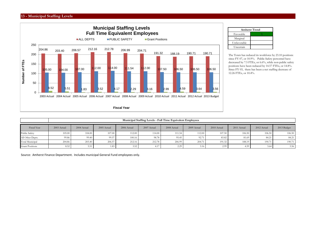#### **13 - Municipal Staffing Levels**



| <b>Amherst Trend</b> |  |  |  |  |  |  |  |  |  |  |
|----------------------|--|--|--|--|--|--|--|--|--|--|
| Favorable            |  |  |  |  |  |  |  |  |  |  |
| Marginal             |  |  |  |  |  |  |  |  |  |  |
| Unfavorable          |  |  |  |  |  |  |  |  |  |  |
| Uncertain            |  |  |  |  |  |  |  |  |  |  |

The Town has reduced its workforce by 23.10 positions since FY 07, or 10.9%. Public Safety personnel have decreased by 7.5 FTEs, or 6.6%, while non-public safety positions have been reduced by 14.57 FTEs, or 14.8%. Since FY 03, there has been a net staffing decrease of 12.26 FTEs, or 10.4%.

|                        |             | Municipal Staffing Levels - Full Time Equivalent Employees |             |             |             |             |             |             |             |             |             |  |  |  |
|------------------------|-------------|------------------------------------------------------------|-------------|-------------|-------------|-------------|-------------|-------------|-------------|-------------|-------------|--|--|--|
| Fiscal Year            | 2003 Actual | 2004 Actual                                                | 2005 Actual | 2006 Actual | 2007 Actual | 2008 Actual | 2009 Actual | 2010 Actual | 2011 Actual | 2012 Actual | 2013 Budget |  |  |  |
| Public Safety          | 105.00      | 104.00                                                     | 107.00      | 112.00      | 114.00      | 111.54      | 112.00      | 107.50      | 106.50      | 106.50      | 106.50      |  |  |  |
| All Other Depts.       | 99.86       | 99.40                                                      | 99.57       | 100.16      | 98.78       | 95.45       | 92.71       | 83.82       | 81.69       | 84.21       | 84.21       |  |  |  |
| Total Municipal        | 204.86      | 203.40                                                     | 206.57      | 212.16      | 212.78      | 206.99      | 204.71      | 191.32      | 188.19      | 190.71      | 190.71      |  |  |  |
| <b>Grant Positions</b> | 8.52        | 5.51                                                       | 1.83        | 3.52        | 4.17        | 2.29        | 3.16        | 2.99        | 4.59        | 3.64        | 3.56        |  |  |  |

Source: Amherst Finance Department. Includes municipal General Fund employees only.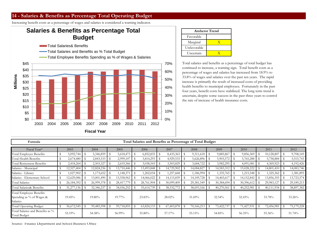## **14 - Salaries & Benefits as Percentage Total Operating Budget**

Increasing benefit costs as a percentage of wages and salaries is considered a warning indicator.

# **Salaries & Benefits as Percentage Total Budget**

- **The Total Salaries& Benefits**
- Total Salaries and Benefits as % Total Budget
- Total Employee Benefits Spending as % of Wages & Salaries



|             | <b>Amherst Trend</b> |  |  |  |  |  |  |  |  |  |
|-------------|----------------------|--|--|--|--|--|--|--|--|--|
| Favorable   |                      |  |  |  |  |  |  |  |  |  |
| Marginal    |                      |  |  |  |  |  |  |  |  |  |
| Unfavorable |                      |  |  |  |  |  |  |  |  |  |
| Uncertain   |                      |  |  |  |  |  |  |  |  |  |

Total salaries and benefits as a percentage of total budget has continued to increase, a warning sign. Total benefit costs as a percentage of wages and salaries has increased from 18.9% to 33.8% of wages and salaries over the past ten years. The rapid increase is primarily the result of increased costs of providing health benefits to municipal employees. Fortunately in the past four years, benefit costs have stabilized. The long term trend is uncertain, despite some success in the past three years to control the rate of increase of health insurance costs.

| Formula                                                                |    |            |            |   |            |               |            | Total Salaries and Benefits as Percentage of Total Budget |      |            |      |            |      |                |            |      |            |
|------------------------------------------------------------------------|----|------------|------------|---|------------|---------------|------------|-----------------------------------------------------------|------|------------|------|------------|------|----------------|------------|------|------------|
| Fiscal Year*                                                           |    | 2003       | 2004       |   | 2005       |               | 2006       | 2007                                                      |      | 2008       |      | 2009       |      | 2010           | 2011       |      | 2012       |
| Total Employee Benefits                                                | S  | 5,092,744  | 5,346,859  | S | 5,618,473  | S             | 6,852,835  | 8,433,363                                                 | - \$ | 9,311,618  | - \$ | 9,885,867  | - \$ | $9,856,369$ \$ | 10,128,807 | - \$ | 9,708,169  |
| Total Health Benefits                                                  |    | 2,674,480  | 2,843,533  |   | 2,999,107  | $\mathcal{S}$ | 3,814,293  | 4,929,533                                                 |      | 5,626,896  |      | 5,903,572  |      | 5,765,288      | 5,758,884  |      | 5,515,743  |
| Total Retirement Benefits                                              |    | 2,418,264  | 2,503,327  |   | 2,619,366  | - \$          | 3,038,543  | 3,503,829                                                 |      | 3,684,722  |      | 3,982,295  |      | 4,091,081      | 4,369,923  |      | 4,192,426  |
| Salaries - Municipal                                                   |    | 12,527,404 | 12,824,236 |   | 13,710,446 | - \$          | 13,493,848 | 4,725,902                                                 |      | 14,084,827 |      | 14,583,312 |      | 15,028,222     | 14,801,410 |      | 14,083,746 |
| Salaries - Library                                                     | -S | 1,027,902  | 1,173,652  | S | 1,148,371  | $\mathcal{S}$ | 202,034    | 1,257,668                                                 |      | 1,186,994  |      | 1,335,765  | - \$ | 1,215,548 \$   | 1,325,362  |      | 1,381,893  |
| Salaries - Elementary School                                           |    | 12,629,086 | 13,001,490 | S | 13,558,962 | -S            | 14,066,022 | 14,115,839                                                |      | 14,109,728 |      | 14,465,617 | S    | 14,152,842     | 13,856,355 |      | 13,723,574 |
| <b>Total Salaries</b>                                                  |    | 26,184,392 | 26,999,378 |   | 28,417,779 |               | 28,761,904 | 30,099,409                                                |      | 29,381,549 |      | 30,384,694 |      | 30,396,612     | 29,983,127 |      | 29,189,213 |
| Total Salaries& Benefits                                               |    | 31,277,136 | 32,346,237 |   | 34,036,252 |               | 35,614,739 | 38,532,772                                                |      | 38,693,166 |      | 40,270,561 |      | 40,252,981     | 40,111,934 |      | 38,897,382 |
| <b>Total Employee Benefits</b><br>Spending as % of Wages &<br>Salaries |    | 19.45%     | 19.80%     |   | 19.77%     |               | 23.83%     | 28.02%                                                    |      | 31.69%     |      | 32.54%     |      | 32.43%         | 33.78%     |      | 33.26%     |
| Total Operating Budget                                                 |    | 56,672,545 | 59,485,598 |   | 59,718,855 | -S            | 63,824,133 | 67,403,878                                                |      | 70,166,213 |      | 73,422,737 |      | 71,427,931     | 72,456,981 |      | 75,179,228 |
| Total Salaries and Benefits as %<br><b>Total Budget</b>                |    | 55.19%     | 54.38%     |   | 56.99%     |               | 55.80%     | 57.17%                                                    |      | 55.15%     |      | 54.85%     |      | 56.35%         | 55.36%     |      | 51.74%     |

Source: Finance Department and School Business Office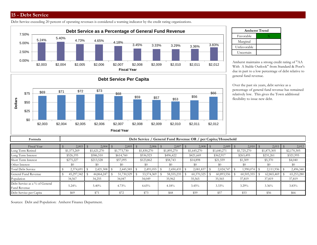### **15 - Debt Service**

Debt Service exceeding 20 percent of operating revenues is considered a warning indicator by the credit rating organizations.





| <b>Amherst Trend</b> |  |  |  |  |  |  |  |  |  |  |
|----------------------|--|--|--|--|--|--|--|--|--|--|
| Favorable            |  |  |  |  |  |  |  |  |  |  |
| Marginal             |  |  |  |  |  |  |  |  |  |  |
| Unfavorable          |  |  |  |  |  |  |  |  |  |  |
| Uncertain            |  |  |  |  |  |  |  |  |  |  |

Amherst maintains a strong credit rating of "AA With A Stable Outlook" from Standard & Poor's due in part to a low percentage of debt relative to general fund revenue.

Over the past six years, debt service as a percentage of general fund revenue has remained relatively low. This gives the Town additional flexibility to issue new debt.

| Formula                                        |                | Debt Service / General Fund Revenue OR / per Capita/Household |            |                |          |             |           |             |          |              |          |             |          |             |         |             |         |             |         |             |
|------------------------------------------------|----------------|---------------------------------------------------------------|------------|----------------|----------|-------------|-----------|-------------|----------|--------------|----------|-------------|----------|-------------|---------|-------------|---------|-------------|---------|-------------|
| Fiscal Year                                    | 2,003<br>2,004 |                                                               |            |                | 2,005    |             |           |             |          | 2,007        |          | 2,008       |          | 2,009       | 2,010   |             | 2,011   |             |         | 2,012       |
| Long Term Retired                              |                | \$1,573,269                                                   |            | \$1,621,270    |          | \$1,773,730 |           | \$1,830,270 |          | \$1,895,270  |          | \$1,645,270 |          | \$1,640,271 |         | \$1,725,270 |         | \$1,875,305 |         | \$2,170,305 |
| Long Term Interest                             | \$526,195      |                                                               | \$586,510  | \$614,760      |          | \$536,923   |           | \$496,422   |          | \$421,669    |          | \$362,917   |          | \$263,495   |         | \$231,261   |         | \$321,995   |         |             |
| Short Term Interest                            |                | \$275,227                                                     |            | \$213,528      | \$57,095 |             | \$123,862 |             | \$58,743 |              | \$14,898 |             | \$21,559 |             | \$1,309 |             | \$5,370 |             | \$4,040 |             |
| Other Interest                                 | \$0            |                                                               | \$0<br>\$0 |                | \$0      |             | \$0       |             |          | \$0          |          | \$0         |          | $\$0$       | \$0     |             |         | $\$0$       |         |             |
| Total Debt Service                             |                | 2,374,691                                                     |            | $2,421,308$ \$ |          | 2,445,585   |           | 2,491,055   |          | 2,450,435    |          | 2,081,837   |          | 2,024,747   |         | 1,990,074   |         | 2,111,936   |         | 2,496,340   |
| General Fund Revenue                           |                | 45,297,342                                                    |            | 44,864,247     |          | 51,730,529  |           | 53,574,369  |          | 58, 555, 235 |          | 60,370,325  |          | 60,893,556  |         | 60,505,355  |         | 62,865,469  |         | 65,253,280  |
| Population                                     |                | 34,567                                                        |            | 34,255         |          | 34,047      |           | 34,049      |          | 35,962       |          | 35,565      |          | 35,565      |         | 37,819      |         | 37,819      |         | 37,819      |
| Debt Service as a % of General<br>Fund Revenue |                | $5.24\%$                                                      |            | 5.40%          |          | 4.73%       |           | $4.65\%$    |          | 4.18%        |          | $3.45\%$    |          | $3.33\%$    |         | $3.29\%$    |         | $3.36\%$    |         | $3.83\%$    |
| Debt Service per Capita                        |                | \$69                                                          |            | \$71           |          | \$72        |           | \$73        |          | \$68         |          | \$59        |          | \$57        |         | \$53        |         | \$56        |         | \$66        |

Sources: Debt and Population: Amherst Finance Department.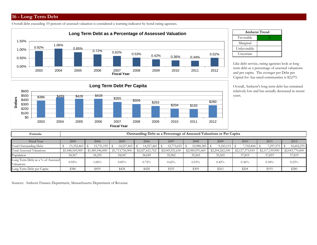#### **16 - Long Term Debt**

Overall debt exceeding 10 percent of assessed valuation is considered a warning indicator by bond rating agencies.



| <b>Amherst Trend</b> |  |  |  |  |  |  |  |  |  |
|----------------------|--|--|--|--|--|--|--|--|--|
| Favorable            |  |  |  |  |  |  |  |  |  |
| Marginal             |  |  |  |  |  |  |  |  |  |
| Unfavorable          |  |  |  |  |  |  |  |  |  |
| Uncertain            |  |  |  |  |  |  |  |  |  |

Like debt service, rating agencies look at long term debt as a percentage of assessed valuations and per capita. The averager per Debt per Capital for Aaa rated communities is \$2,075.

Overall, Amherst's long term debt has remained relatively low and has actually decreased in recent years.



| Formula                                         |                 | <b>Outstanding Debt as a Percentage of Assessed Valuations or Per Capita</b> |                 |                 |                 |                 |                 |                 |                 |                 |  |  |  |  |  |  |
|-------------------------------------------------|-----------------|------------------------------------------------------------------------------|-----------------|-----------------|-----------------|-----------------|-----------------|-----------------|-----------------|-----------------|--|--|--|--|--|--|
| Fiscal Year                                     | 2003            | 2004                                                                         | 2005            | 2006            | 2007            | 2008            | 2009            | 2010            | 2011            | 2012            |  |  |  |  |  |  |
| Total Outstanding Debt                          | 13,352,465      | 15,731,195                                                                   | 14,557,465      | 14,557,465      | 12,773,655      | 10,988,385      | 9,343,115       | 7,702,844       | 7,297,575       | 10,602,270      |  |  |  |  |  |  |
| Total Assessed Valuations                       | \$1,448,569,000 | \$1,485,946,000                                                              | \$1,713,756,900 | \$2,027,621,762 | \$2,045,921,630 | \$2,084,591,660 | \$2,204,262,100 | \$2,127,375,010 | \$2,117,159,900 | \$2,043,770,600 |  |  |  |  |  |  |
| Population                                      | 34,567          | 34,255                                                                       | 34,047          | 34,049          | 35,962          | 35,565          | 35,565          | 37,819          | 37,819          | 37,819          |  |  |  |  |  |  |
| Long Term Debt as a % of Assessed<br>Valuations | $0.92\%$        | $1.06\%$                                                                     | $0.85\%$        | 0.72%           | 0.62%           | 0.53%           | 0.42%           | $0.36\%$        | $0.34\%$        | 0.52%           |  |  |  |  |  |  |
| Long Term Debt per Capita                       | \$386           | \$459                                                                        | \$428           | \$428           | \$355           | \$309           | \$263           | \$204           | \$193           | \$280           |  |  |  |  |  |  |

Sources: Amherst Finance Department, Massachusetts Department of Revenue